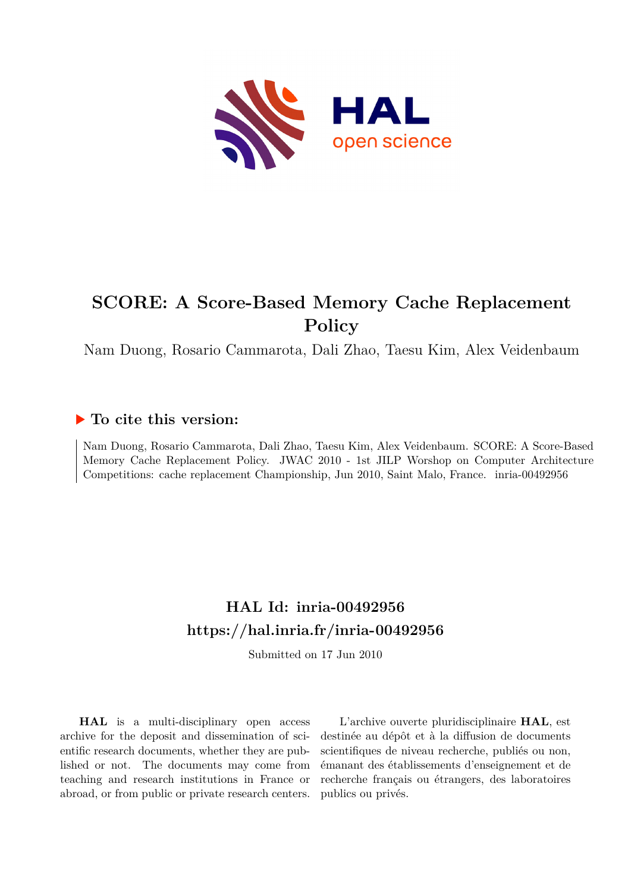

# **SCORE: A Score-Based Memory Cache Replacement Policy**

Nam Duong, Rosario Cammarota, Dali Zhao, Taesu Kim, Alex Veidenbaum

## **To cite this version:**

Nam Duong, Rosario Cammarota, Dali Zhao, Taesu Kim, Alex Veidenbaum. SCORE: A Score-Based Memory Cache Replacement Policy. JWAC 2010 - 1st JILP Worshop on Computer Architecture Competitions: cache replacement Championship, Jun 2010, Saint Malo, France. inria-00492956

## **HAL Id: inria-00492956 <https://hal.inria.fr/inria-00492956>**

Submitted on 17 Jun 2010

**HAL** is a multi-disciplinary open access archive for the deposit and dissemination of scientific research documents, whether they are published or not. The documents may come from teaching and research institutions in France or abroad, or from public or private research centers.

L'archive ouverte pluridisciplinaire **HAL**, est destinée au dépôt et à la diffusion de documents scientifiques de niveau recherche, publiés ou non, émanant des établissements d'enseignement et de recherche français ou étrangers, des laboratoires publics ou privés.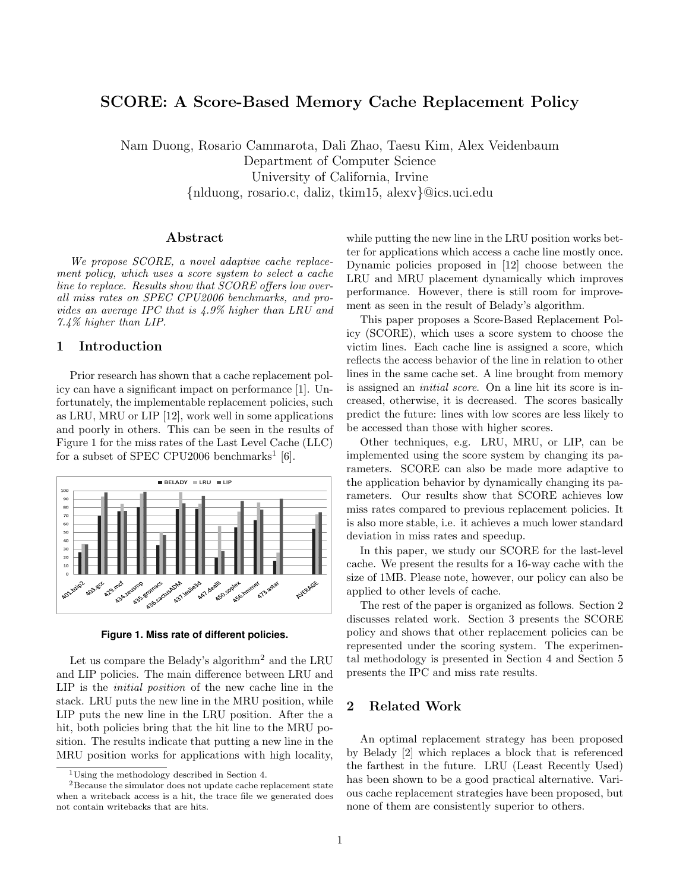### SCORE: A Score-Based Memory Cache Replacement Policy

Nam Duong, Rosario Cammarota, Dali Zhao, Taesu Kim, Alex Veidenbaum Department of Computer Science University of California, Irvine {nlduong, rosario.c, daliz, tkim15, alexv}@ics.uci.edu

#### Abstract

We propose SCORE, a novel adaptive cache replacement policy, which uses a score system to select a cache line to replace. Results show that SCORE offers low overall miss rates on SPEC CPU2006 benchmarks, and provides an average IPC that is 4.9% higher than LRU and 7.4% higher than LIP.

#### 1 Introduction

Prior research has shown that a cache replacement policy can have a significant impact on performance [1]. Unfortunately, the implementable replacement policies, such as LRU, MRU or LIP [12], work well in some applications and poorly in others. This can be seen in the results of Figure 1 for the miss rates of the Last Level Cache (LLC) for a subset of SPEC CPU2006 benchmarks<sup>1</sup> [6].



**Figure 1. Miss rate of different policies.**

Let us compare the Belady's algorithm<sup>2</sup> and the LRU and LIP policies. The main difference between LRU and LIP is the initial position of the new cache line in the stack. LRU puts the new line in the MRU position, while LIP puts the new line in the LRU position. After the a hit, both policies bring that the hit line to the MRU position. The results indicate that putting a new line in the MRU position works for applications with high locality, while putting the new line in the LRU position works better for applications which access a cache line mostly once. Dynamic policies proposed in [12] choose between the LRU and MRU placement dynamically which improves performance. However, there is still room for improvement as seen in the result of Belady's algorithm.

This paper proposes a Score-Based Replacement Policy (SCORE), which uses a score system to choose the victim lines. Each cache line is assigned a score, which reflects the access behavior of the line in relation to other lines in the same cache set. A line brought from memory is assigned an initial score. On a line hit its score is increased, otherwise, it is decreased. The scores basically predict the future: lines with low scores are less likely to be accessed than those with higher scores.

Other techniques, e.g. LRU, MRU, or LIP, can be implemented using the score system by changing its parameters. SCORE can also be made more adaptive to the application behavior by dynamically changing its parameters. Our results show that SCORE achieves low miss rates compared to previous replacement policies. It is also more stable, i.e. it achieves a much lower standard deviation in miss rates and speedup.

In this paper, we study our SCORE for the last-level cache. We present the results for a 16-way cache with the size of 1MB. Please note, however, our policy can also be applied to other levels of cache.

The rest of the paper is organized as follows. Section 2 discusses related work. Section 3 presents the SCORE policy and shows that other replacement policies can be represented under the scoring system. The experimental methodology is presented in Section 4 and Section 5 presents the IPC and miss rate results.

### 2 Related Work

An optimal replacement strategy has been proposed by Belady [2] which replaces a block that is referenced the farthest in the future. LRU (Least Recently Used) has been shown to be a good practical alternative. Various cache replacement strategies have been proposed, but none of them are consistently superior to others.

<sup>1</sup>Using the methodology described in Section 4.

<sup>2</sup>Because the simulator does not update cache replacement state when a writeback access is a hit, the trace file we generated does not contain writebacks that are hits.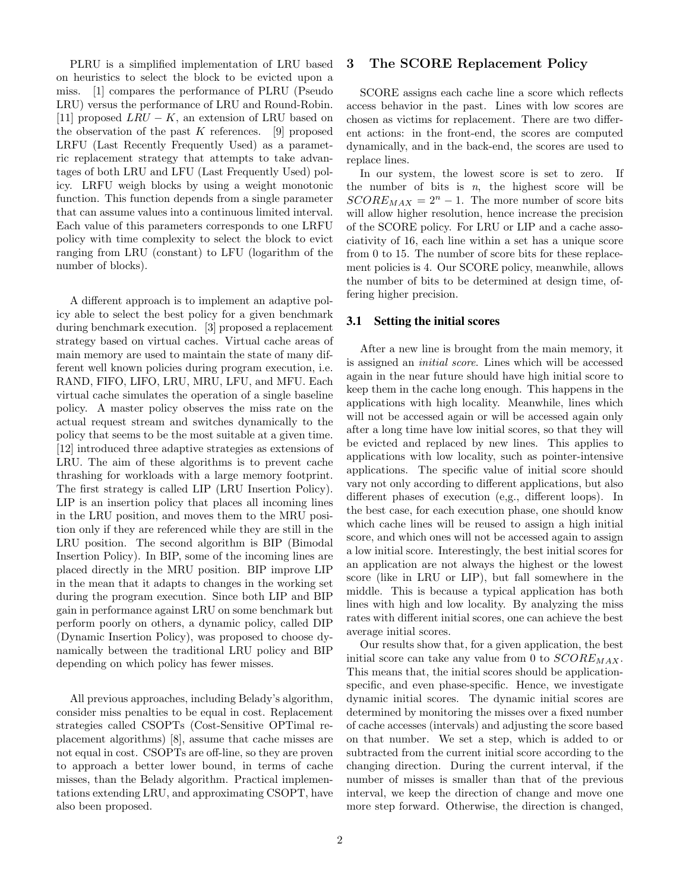PLRU is a simplified implementation of LRU based on heuristics to select the block to be evicted upon a miss. [1] compares the performance of PLRU (Pseudo LRU) versus the performance of LRU and Round-Robin. [11] proposed  $LRU - K$ , an extension of LRU based on the observation of the past  $K$  references. [9] proposed LRFU (Last Recently Frequently Used) as a parametric replacement strategy that attempts to take advantages of both LRU and LFU (Last Frequently Used) policy. LRFU weigh blocks by using a weight monotonic function. This function depends from a single parameter that can assume values into a continuous limited interval. Each value of this parameters corresponds to one LRFU policy with time complexity to select the block to evict ranging from LRU (constant) to LFU (logarithm of the number of blocks).

A different approach is to implement an adaptive policy able to select the best policy for a given benchmark during benchmark execution. [3] proposed a replacement strategy based on virtual caches. Virtual cache areas of main memory are used to maintain the state of many different well known policies during program execution, i.e. RAND, FIFO, LIFO, LRU, MRU, LFU, and MFU. Each virtual cache simulates the operation of a single baseline policy. A master policy observes the miss rate on the actual request stream and switches dynamically to the policy that seems to be the most suitable at a given time. [12] introduced three adaptive strategies as extensions of LRU. The aim of these algorithms is to prevent cache thrashing for workloads with a large memory footprint. The first strategy is called LIP (LRU Insertion Policy). LIP is an insertion policy that places all incoming lines in the LRU position, and moves them to the MRU position only if they are referenced while they are still in the LRU position. The second algorithm is BIP (Bimodal Insertion Policy). In BIP, some of the incoming lines are placed directly in the MRU position. BIP improve LIP in the mean that it adapts to changes in the working set during the program execution. Since both LIP and BIP gain in performance against LRU on some benchmark but perform poorly on others, a dynamic policy, called DIP (Dynamic Insertion Policy), was proposed to choose dynamically between the traditional LRU policy and BIP depending on which policy has fewer misses.

All previous approaches, including Belady's algorithm, consider miss penalties to be equal in cost. Replacement strategies called CSOPTs (Cost-Sensitive OPTimal replacement algorithms) [8], assume that cache misses are not equal in cost. CSOPTs are off-line, so they are proven to approach a better lower bound, in terms of cache misses, than the Belady algorithm. Practical implementations extending LRU, and approximating CSOPT, have also been proposed.

#### 3 The SCORE Replacement Policy

SCORE assigns each cache line a score which reflects access behavior in the past. Lines with low scores are chosen as victims for replacement. There are two different actions: in the front-end, the scores are computed dynamically, and in the back-end, the scores are used to replace lines.

In our system, the lowest score is set to zero. If the number of bits is  $n$ , the highest score will be  $SCORE_{MAX} = 2<sup>n</sup> - 1$ . The more number of score bits will allow higher resolution, hence increase the precision of the SCORE policy. For LRU or LIP and a cache associativity of 16, each line within a set has a unique score from 0 to 15. The number of score bits for these replacement policies is 4. Our SCORE policy, meanwhile, allows the number of bits to be determined at design time, offering higher precision.

#### 3.1 Setting the initial scores

After a new line is brought from the main memory, it is assigned an initial score. Lines which will be accessed again in the near future should have high initial score to keep them in the cache long enough. This happens in the applications with high locality. Meanwhile, lines which will not be accessed again or will be accessed again only after a long time have low initial scores, so that they will be evicted and replaced by new lines. This applies to applications with low locality, such as pointer-intensive applications. The specific value of initial score should vary not only according to different applications, but also different phases of execution (e,g., different loops). In the best case, for each execution phase, one should know which cache lines will be reused to assign a high initial score, and which ones will not be accessed again to assign a low initial score. Interestingly, the best initial scores for an application are not always the highest or the lowest score (like in LRU or LIP), but fall somewhere in the middle. This is because a typical application has both lines with high and low locality. By analyzing the miss rates with different initial scores, one can achieve the best average initial scores.

Our results show that, for a given application, the best initial score can take any value from 0 to  $SCORE_{MAX}$ . This means that, the initial scores should be applicationspecific, and even phase-specific. Hence, we investigate dynamic initial scores. The dynamic initial scores are determined by monitoring the misses over a fixed number of cache accesses (intervals) and adjusting the score based on that number. We set a step, which is added to or subtracted from the current initial score according to the changing direction. During the current interval, if the number of misses is smaller than that of the previous interval, we keep the direction of change and move one more step forward. Otherwise, the direction is changed,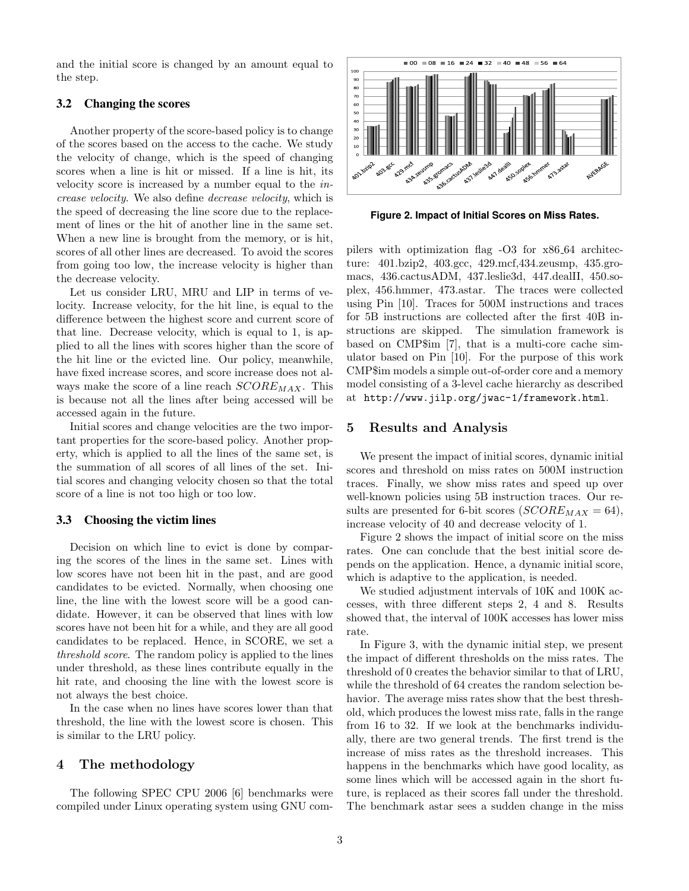and the initial score is changed by an amount equal to the step.

#### 3.2 Changing the scores

Another property of the score-based policy is to change of the scores based on the access to the cache. We study the velocity of change, which is the speed of changing scores when a line is hit or missed. If a line is hit, its velocity score is increased by a number equal to the increase velocity. We also define decrease velocity, which is the speed of decreasing the line score due to the replacement of lines or the hit of another line in the same set. When a new line is brought from the memory, or is hit, scores of all other lines are decreased. To avoid the scores from going too low, the increase velocity is higher than the decrease velocity.

Let us consider LRU, MRU and LIP in terms of velocity. Increase velocity, for the hit line, is equal to the difference between the highest score and current score of that line. Decrease velocity, which is equal to 1, is applied to all the lines with scores higher than the score of the hit line or the evicted line. Our policy, meanwhile, have fixed increase scores, and score increase does not always make the score of a line reach  $SCORE_{MAX}$ . This is because not all the lines after being accessed will be accessed again in the future.

Initial scores and change velocities are the two important properties for the score-based policy. Another property, which is applied to all the lines of the same set, is the summation of all scores of all lines of the set. Initial scores and changing velocity chosen so that the total score of a line is not too high or too low.

#### 3.3 Choosing the victim lines

Decision on which line to evict is done by comparing the scores of the lines in the same set. Lines with low scores have not been hit in the past, and are good candidates to be evicted. Normally, when choosing one line, the line with the lowest score will be a good candidate. However, it can be observed that lines with low scores have not been hit for a while, and they are all good candidates to be replaced. Hence, in SCORE, we set a threshold score. The random policy is applied to the lines under threshold, as these lines contribute equally in the hit rate, and choosing the line with the lowest score is not always the best choice.

In the case when no lines have scores lower than that threshold, the line with the lowest score is chosen. This is similar to the LRU policy.

#### 4 The methodology

The following SPEC CPU 2006 [6] benchmarks were compiled under Linux operating system using GNU com-



**Figure 2. Impact of Initial Scores on Miss Rates.**

pilers with optimization flag -O3 for x86 64 architecture: 401.bzip2, 403.gcc, 429.mcf,434.zeusmp, 435.gromacs, 436.cactusADM, 437.leslie3d, 447.dealII, 450.soplex, 456.hmmer, 473.astar. The traces were collected using Pin [10]. Traces for 500M instructions and traces for 5B instructions are collected after the first 40B instructions are skipped. The simulation framework is based on CMP\$im [7], that is a multi-core cache simulator based on Pin [10]. For the purpose of this work CMP\$im models a simple out-of-order core and a memory model consisting of a 3-level cache hierarchy as described at http://www.jilp.org/jwac-1/framework.html.

#### 5 Results and Analysis

We present the impact of initial scores, dynamic initial scores and threshold on miss rates on 500M instruction traces. Finally, we show miss rates and speed up over well-known policies using 5B instruction traces. Our results are presented for 6-bit scores ( $SCORE_{MAX} = 64$ ), increase velocity of 40 and decrease velocity of 1.

Figure 2 shows the impact of initial score on the miss rates. One can conclude that the best initial score depends on the application. Hence, a dynamic initial score, which is adaptive to the application, is needed.

We studied adjustment intervals of 10K and 100K accesses, with three different steps 2, 4 and 8. Results showed that, the interval of 100K accesses has lower miss rate.

In Figure 3, with the dynamic initial step, we present the impact of different thresholds on the miss rates. The threshold of 0 creates the behavior similar to that of LRU, while the threshold of 64 creates the random selection behavior. The average miss rates show that the best threshold, which produces the lowest miss rate, falls in the range from 16 to 32. If we look at the benchmarks individually, there are two general trends. The first trend is the increase of miss rates as the threshold increases. This happens in the benchmarks which have good locality, as some lines which will be accessed again in the short future, is replaced as their scores fall under the threshold. The benchmark astar sees a sudden change in the miss